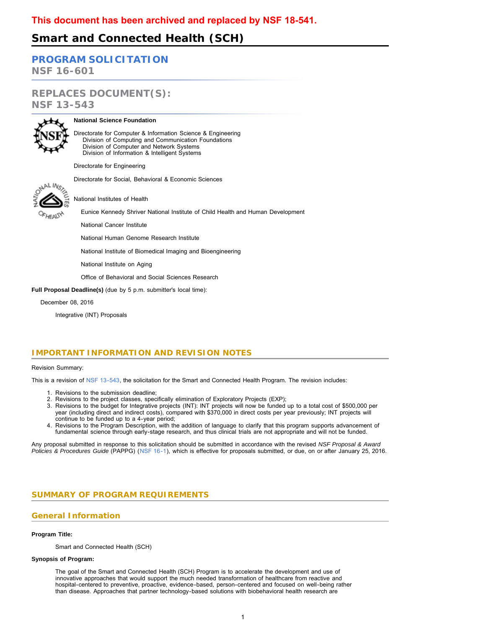# **Smart and Connected Health (SCH)**

**[PROGRAM SOLICITATION](#page-3-0)**

**NSF 16-601**

# **REPLACES DOCUMENT(S): NSF 13-543**



## **National Science Foundation**

Directorate for Computer & Information Science & Engineering Division of Computing and Communication Foundations Division of Computer and Network Systems Division of Information & Intelligent Systems

Directorate for Engineering

Directorate for Social, Behavioral & Economic Sciences



National Institutes of Health

Eunice Kennedy Shriver National Institute of Child Health and Human Development

National Cancer Institute

National Human Genome Research Institute

National Institute of Biomedical Imaging and Bioengineering

National Institute on Aging

Office of Behavioral and Social Sciences Research

**Full Proposal Deadline(s)** (due by 5 p.m. submitter's local time):

December 08, 2016

Integrative (INT) Proposals

## **IMPORTANT INFORMATION AND REVISION NOTES**

### Revision Summary:

This is a revision of [NSF 13-543,](http://www.nsf.gov/publications/pub_summ.jsp?ods_key=nsf13543) the solicitation for the Smart and Connected Health Program. The revision includes:

- 1. Revisions to the submission deadline;
- 2. Revisions to the project classes, specifically elimination of Exploratory Projects (EXP);
- 3. Revisions to the budget for Integrative projects (INT): INT projects will now be funded up to a total cost of \$500,000 per year (including direct and indirect costs), compared with \$370,000 in direct costs per year previously; INT projects will continue to be funded up to a 4-year period;
- 4. Revisions to the Program Description, with the addition of language to clarify that this program supports advancement of fundamental science through early-stage research, and thus clinical trials are not appropriate and will not be funded.

<span id="page-0-0"></span>Any proposal submitted in response to this solicitation should be submitted in accordance with the revised *NSF Proposal & Award Policies & Procedures Guide* (PAPPG) ([NSF 16-1](http://www.nsf.gov/publications/pub_summ.jsp?ods_key=nsf16001)), which is effective for proposals submitted, or due, on or after January 25, 2016.

## **SUMMARY OF PROGRAM REQUIREMENTS**

## **General Information**

### **Program Title:**

Smart and Connected Health (SCH)

### **Synopsis of Program:**

The goal of the Smart and Connected Health (SCH) Program is to accelerate the development and use of innovative approaches that would support the much needed transformation of healthcare from reactive and hospital-centered to preventive, proactive, evidence-based, person-centered and focused on well-being rather than disease. Approaches that partner technology-based solutions with biobehavioral health research are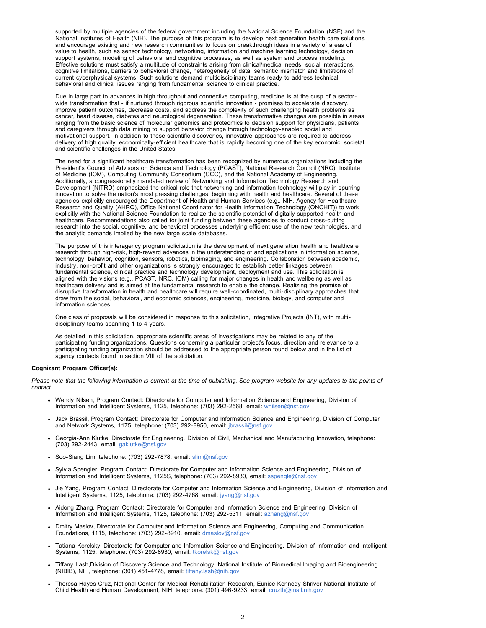supported by multiple agencies of the federal government including the National Science Foundation (NSF) and the National Institutes of Health (NIH). The purpose of this program is to develop next generation health care solutions and encourage existing and new research communities to focus on breakthrough ideas in a variety of areas of value to health, such as sensor technology, networking, information and machine learning technology, decision support systems, modeling of behavioral and cognitive processes, as well as system and process modeling. Effective solutions must satisfy a multitude of constraints arising from clinical/medical needs, social interactions, cognitive limitations, barriers to behavioral change, heterogeneity of data, semantic mismatch and limitations of current cyberphysical systems. Such solutions demand multidisciplinary teams ready to address technical, behavioral and clinical issues ranging from fundamental science to clinical practice.

Due in large part to advances in high throughput and connective computing, medicine is at the cusp of a sectorwide transformation that - if nurtured through rigorous scientific innovation - promises to accelerate discovery, improve patient outcomes, decrease costs, and address the complexity of such challenging health problems as cancer, heart disease, diabetes and neurological degeneration. These transformative changes are possible in areas ranging from the basic science of molecular genomics and proteomics to decision support for physicians, patients and caregivers through data mining to support behavior change through technology-enabled social and motivational support. In addition to these scientific discoveries, innovative approaches are required to address delivery of high quality, economically-efficient healthcare that is rapidly becoming one of the key economic, societal and scientific challenges in the United States.

The need for a significant healthcare transformation has been recognized by numerous organizations including the President's Council of Advisors on Science and Technology (PCAST), National Research Council (NRC), Institute of Medicine (IOM), Computing Community Consortium (CCC), and the National Academy of Engineering. Additionally, a congressionally mandated review of Networking and Information Technology Research and Development (NITRD) emphasized the critical role that networking and information technology will play in spurring innovation to solve the nation's most pressing challenges, beginning with health and healthcare. Several of these agencies explicitly encouraged the Department of Health and Human Services (e.g., NIH, Agency for Healthcare Research and Quality (AHRQ), Office National Coordinator for Health Information Technology (ONCHIT)) to work explicitly with the National Science Foundation to realize the scientific potential of digitally supported health and healthcare. Recommendations also called for joint funding between these agencies to conduct cross-cutting research into the social, cognitive, and behavioral processes underlying efficient use of the new technologies, and the analytic demands implied by the new large scale databases.

The purpose of this interagency program solicitation is the development of next generation health and healthcare research through high-risk, high-reward advances in the understanding of and applications in information science, technology, behavior, cognition, sensors, robotics, bioimaging, and engineering. Collaboration between academic, industry, non-profit and other organizations is strongly encouraged to establish better linkages between fundamental science, clinical practice and technology development, deployment and use. This solicitation is aligned with the visions (e.g., PCAST, NRC, IOM) calling for major changes in health and wellbeing as well as healthcare delivery and is aimed at the fundamental research to enable the change. Realizing the promise of disruptive transformation in health and healthcare will require well-coordinated, multi-disciplinary approaches that draw from the social, behavioral, and economic sciences, engineering, medicine, biology, and computer and information sciences.

One class of proposals will be considered in response to this solicitation, Integrative Projects (INT), with multidisciplinary teams spanning 1 to 4 years.

As detailed in this solicitation, appropriate scientific areas of investigations may be related to any of the participating funding organizations. Questions concerning a particular project's focus, direction and relevance to a participating funding organization should be addressed to the appropriate person found below and in the list of agency contacts found in section VIII of the solicitation.

#### **Cognizant Program Officer(s):**

*Please note that the following information is current at the time of publishing. See program website for any updates to the points of contact.*

- Wendy Nilsen, Program Contact: Directorate for Computer and Information Science and Engineering, Division of Information and Intelligent Systems, 1125, telephone: (703) 292-2568, email: [wnilsen@nsf.gov](mailto:wnilsen@nsf.gov)
- Jack Brassil, Program Contact: Directorate for Computer and Information Science and Engineering, Division of Computer and Network Systems, 1175, telephone: (703) 292-8950, email: [jbrassil@nsf.gov](mailto:jbrassil@nsf.gov)
- Georgia-Ann Klutke, Directorate for Engineering, Division of Civil, Mechanical and Manufacturing Innovation, telephone: (703) 292-2443, email: [gaklutke@nsf.gov](mailto:gaklutke@nsf.gov)
- Soo-Siang Lim, telephone: (703) 292-7878, email: [slim@nsf.gov](mailto:slim@nsf.gov)
- Sylvia Spengler, Program Contact: Directorate for Computer and Information Science and Engineering, Division of Information and Intelligent Systems, 1125S, telephone: (703) 292-8930, email: [sspengle@nsf.gov](mailto:sspengle@nsf.gov)
- Jie Yang, Program Contact: Directorate for Computer and Information Science and Engineering, Division of Information and Intelligent Systems, 1125, telephone: (703) 292-4768, email: [jyang@nsf.gov](mailto:jyang@nsf.gov)
- Aidong Zhang, Program Contact: Directorate for Computer and Information Science and Engineering, Division of Information and Intelligent Systems, 1125, telephone: (703) 292-5311, email: [azhang@nsf.gov](mailto:azhang@nsf.gov)
- Dmitry Maslov, Directorate for Computer and Information Science and Engineering, Computing and Communication Foundations, 1115, telephone: (703) 292-8910, email: [dmaslov@nsf.gov](mailto:dmaslov@nsf.gov)
- Tatiana Korelsky, Directorate for Computer and Information Science and Engineering, Division of Information and Intelligent Systems, 1125, telephone: (703) 292-8930, email: [tkorelsk@nsf.gov](mailto:tkorelsk@nsf.gov)
- Tiffany Lash,Division of Discovery Science and Technology, National Institute of Biomedical Imaging and Bioengineering (NIBIB), NIH, telephone: (301) 451-4778, email: [tiffany.lash@nih.gov](mailto:tiffany.lash@nih.gov)
- Theresa Hayes Cruz, National Center for Medical Rehabilitation Research, Eunice Kennedy Shriver National Institute of Child Health and Human Development, NIH, telephone: (301) 496-9233, email: [cruzth@mail.nih.gov](mailto:cruzth@mail.nih.gov)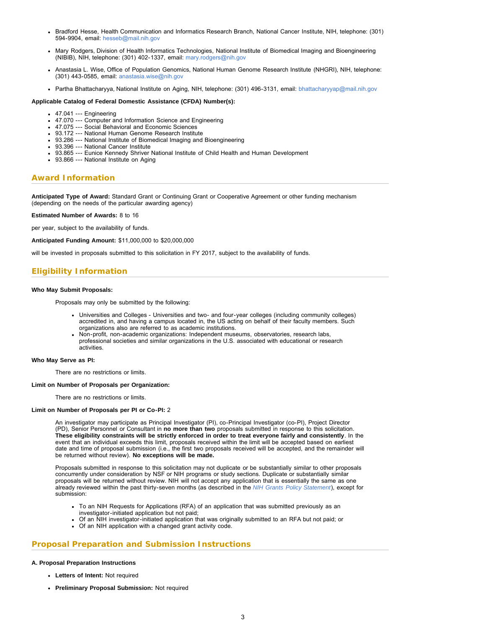- Bradford Hesse, Health Communication and Informatics Research Branch, National Cancer Institute, NIH, telephone: (301) 594-9904, email: [hesseb@mail.nih.gov](mailto:hesseb@mail.nih.gov)
- Mary Rodgers, Division of Health Informatics Technologies, National Institute of Biomedical Imaging and Bioengineering (NIBIB), NIH, telephone: (301) 402-1337, email: [mary.rodgers@nih.gov](mailto:mary.rodgers@nih.gov)
- Anastasia L. Wise, Office of Population Genomics, National Human Genome Research Institute (NHGRI), NIH, telephone: (301) 443-0585, email: [anastasia.wise@nih.gov](mailto:anastasia.wise@nih.gov)
- Partha Bhattacharyya, National Institute on Aging, NIH, telephone: (301) 496-3131, email: [bhattacharyyap@mail.nih.gov](mailto:bhattacharyyap@mail.nih.gov)

#### **Applicable Catalog of Federal Domestic Assistance (CFDA) Number(s):**

- 47.041 --- Engineering
- 47.070 --- Computer and Information Science and Engineering
- 47.075 --- Social Behavioral and Economic Sciences
- 93.172 --- National Human Genome Research Institute
- 93.286 --- National Institute of Biomedical Imaging and Bioengineering
- 93.396 --- National Cancer Institute
- 93.865 --- Eunice Kennedy Shriver National Institute of Child Health and Human Development
- 93.866 --- National Institute on Aging

## **Award Information**

**Anticipated Type of Award:** Standard Grant or Continuing Grant or Cooperative Agreement or other funding mechanism (depending on the needs of the particular awarding agency)

**Estimated Number of Awards:** 8 to 16

per year, subject to the availability of funds.

**Anticipated Funding Amount:** \$11,000,000 to \$20,000,000

will be invested in proposals submitted to this solicitation in FY 2017, subject to the availability of funds.

## **Eligibility Information**

#### **Who May Submit Proposals:**

Proposals may only be submitted by the following:

- Universities and Colleges Universities and two- and four-year colleges (including community colleges) accredited in, and having a campus located in, the US acting on behalf of their faculty members. Such organizations also are referred to as academic institutions.
- Non-profit, non-academic organizations: Independent museums, observatories, research labs, professional societies and similar organizations in the U.S. associated with educational or research activities.

### **Who May Serve as PI:**

There are no restrictions or limits.

#### **Limit on Number of Proposals per Organization:**

There are no restrictions or limits.

### **Limit on Number of Proposals per PI or Co-PI:** 2

An investigator may participate as Principal Investigator (PI), co-Principal Investigator (co-PI), Project Director (PD), Senior Personnel or Consultant in **no more than two** proposals submitted in response to this solicitation. **These eligibility constraints will be strictly enforced in order to treat everyone fairly and consistently**. In the event that an individual exceeds this limit, proposals received within the limit will be accepted based on earliest date and time of proposal submission (i.e., the first two proposals received will be accepted, and the remainder will be returned without review). **No exceptions will be made.**

Proposals submitted in response to this solicitation may not duplicate or be substantially similar to other proposals concurrently under consideration by NSF or NIH programs or study sections. Duplicate or substantially similar proposals will be returned without review. NIH will not accept any application that is essentially the same as one already reviewed within the past thirty-seven months (as described in the *[NIH Grants Policy Statement](http://grants.nih.gov/grants/guide/url_redirect.htm?id=11129)*), except for submission:

- To an NIH Requests for Applications (RFA) of an application that was submitted previously as an investigator-initiated application but not paid;
- Of an NIH investigator-initiated application that was originally submitted to an RFA but not paid; or Of an NIH application with a changed grant activity code.

## **Proposal Preparation and Submission Instructions**

### **A. Proposal Preparation Instructions**

- **Letters of Intent:** Not required
- **Preliminary Proposal Submission:** Not required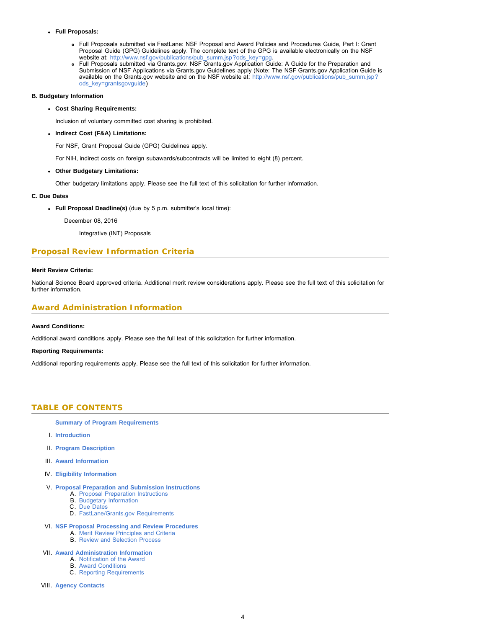### **Full Proposals:**

- Full Proposals submitted via FastLane: NSF Proposal and Award Policies and Procedures Guide, Part I: Grant Proposal Guide (GPG) Guidelines apply. The complete text of the GPG is available electronically on the NSF website at: [http://www.nsf.gov/publications/pub\\_summ.jsp?ods\\_key=gpg.](http://www.nsf.gov/publications/pub_summ.jsp?ods_key=gpg)
- Full Proposals submitted via Grants.gov: NSF Grants.gov Application Guide: A Guide for the Preparation and Submission of NSF Applications via Grants.gov Guidelines apply (Note: The NSF Grants.gov Application Guide is available on the Grants.gov website and on the NSF website at: [http://www.nsf.gov/publications/pub\\_summ.jsp?](http://www.nsf.gov/publications/pub_summ.jsp?ods_key=grantsgovguide) [ods\\_key=grantsgovguide\)](http://www.nsf.gov/publications/pub_summ.jsp?ods_key=grantsgovguide)

### **B. Budgetary Information**

**Cost Sharing Requirements:**

Inclusion of voluntary committed cost sharing is prohibited.

**Indirect Cost (F&A) Limitations:**

For NSF, Grant Proposal Guide (GPG) Guidelines apply.

For NIH, indirect costs on foreign subawards/subcontracts will be limited to eight (8) percent.

**Other Budgetary Limitations:**

Other budgetary limitations apply. Please see the full text of this solicitation for further information.

### **C. Due Dates**

**Full Proposal Deadline(s)** (due by 5 p.m. submitter's local time):

December 08, 2016

Integrative (INT) Proposals

## **Proposal Review Information Criteria**

#### **Merit Review Criteria:**

National Science Board approved criteria. Additional merit review considerations apply. Please see the full text of this solicitation for further information.

### **Award Administration Information**

### **Award Conditions:**

Additional award conditions apply. Please see the full text of this solicitation for further information.

#### **Reporting Requirements:**

<span id="page-3-0"></span>Additional reporting requirements apply. Please see the full text of this solicitation for further information.

## **TABLE OF CONTENTS**

**[Summary of Program Requirements](#page-0-0)**

- I. **[Introduction](#page-4-0)**
- II. **[Program Description](#page-4-1)**
- III. **[Award Information](#page-5-0)**
- IV. **[Eligibility Information](#page-6-0)**

### V. **[Proposal Preparation and Submission Instructions](#page-6-1)**

- A. [Proposal Preparation Instructions](#page-6-1)
- B. [Budgetary Information](#page-8-0) C. [Due Dates](#page-8-1)
- D. [FastLane/Grants.gov Requirements](#page-8-2)

### VI. **[NSF Proposal Processing and Review Procedures](#page-9-0)**

- A. [Merit Review Principles and Criteria](#page-9-1)
- B. [Review and Selection Process](#page-12-0)

### VII. **[Award Administration Information](#page-12-1)**

- A. [Notification of the Award](#page-12-2)
- B. [Award Conditions](#page-12-3)
- C. [Reporting Requirements](#page-13-0)
- VIII. **[Agency Contacts](#page-13-1)**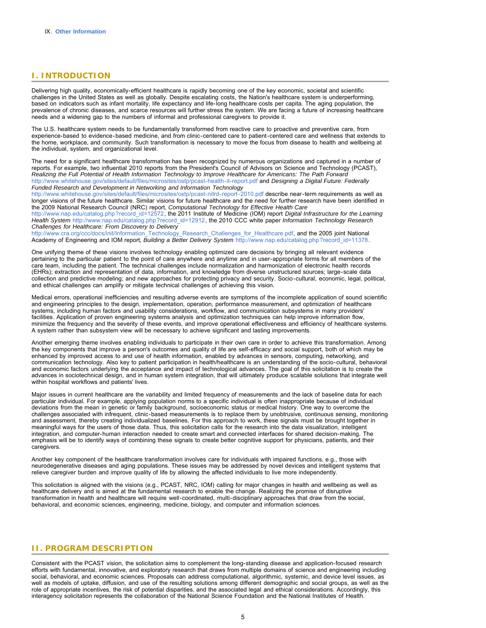## <span id="page-4-0"></span>**I. INTRODUCTION**

Delivering high quality, economically-efficient healthcare is rapidly becoming one of the key economic, societal and scientific challenges in the United States as well as globally. Despite escalating costs, the Nation's healthcare system is underperforming, based on indicators such as infant mortality, life expectancy and life-long healthcare costs per capita. The aging population, the prevalence of chronic diseases, and scarce resources will further stress the system. We are facing a future of increasing healthcare needs and a widening gap to the numbers of informal and professional caregivers to provide it.

The U.S. healthcare system needs to be fundamentally transformed from reactive care to proactive and preventive care, from experience-based to evidence-based medicine, and from clinic-centered care to patient-centered care and wellness that extends to the home, workplace, and community. Such transformation is necessary to move the focus from disease to health and wellbeing at the individual, system, and organizational level.

The need for a significant healthcare transformation has been recognized by numerous organizations and captured in a number of reports. For example, two influential 2010 reports from the President's Council of Advisors on Science and Technology (PCAST), *Realizing the Full Potential of Health Information Technology to Improve Healthcare for Americans: The Path Forward* <http://www.whitehouse.gov/sites/default/files/microsites/ostp/pcast-health-it-report.pdf>and *Designing a Digital Future: Federally Funded Research and Development in Networking and Information Technology*

<http://www.whitehouse.gov/sites/default/files/microsites/ostp/pcast-nitrd-report-2010.pdf>describe near-term requirements as well as longer visions of the future healthcare. Similar visions for future healthcare and the need for further research have been identified in the 2009 National Research Council (NRC) report, *Computational Technology for Effective Health Care*

[http://www.nap.edu/catalog.php?record\\_id=12572](https://www.nsf.gov/cgi-bin/good-bye?http://www.nap.edu/catalog.php?record_id=12572), the 2011 Institute of Medicine (IOM) report *Digital Infrastructure for the Learning Health System* [http://www.nap.edu/catalog.php?record\\_id=12912,](https://www.nsf.gov/cgi-bin/good-bye?http://www.nap.edu/catalog.php?record_id=12912) the 2010 CCC white paper *Information Technology Research Challenges for Healthcare: From Discovery to Delivery*

[http://www.cra.org/ccc/docs/init/Information\\_Technology\\_Research\\_Challenges\\_for\\_Healthcare.pdf,](https://www.nsf.gov/cgi-bin/good-bye?http://www.cra.org/ccc/docs/init/Information_Technology_Research_Challenges_for_Healthcare.pdf) and the 2005 joint National Academy of Engineering and IOM report, *Building a Better Delivery System* [http://www.nap.edu/catalog.php?record\\_id=11378](https://www.nsf.gov/cgi-bin/good-bye?http://www.nap.edu/catalog.php?record_id=11378).

One unifying theme of these visions involves technology enabling optimized care decisions by bringing all relevant evidence pertaining to the particular patient to the point of care anywhere and anytime and in user-appropriate forms for all members of the care team, including the patient. The technical challenges include normalization and harmonization of electronic health records (EHRs); extraction and representation of data, information, and knowledge from diverse unstructured sources; large-scale data collection and predictive modeling; and new approaches for protecting privacy and security. Socio-cultural, economic, legal, political, and ethical challenges can amplify or mitigate technical challenges of achieving this vision.

Medical errors, operational inefficiencies and resulting adverse events are symptoms of the incomplete application of sound scientific and engineering principles to the design, implementation, operation, performance measurement, and optimization of healthcare systems, including human factors and usability considerations, workflow, and communication subsystems in many providers' facilities. Application of proven engineering systems analysis and optimization techniques can help improve information flow, minimize the frequency and the severity of these events, and improve operational effectiveness and efficiency of healthcare systems. A system rather than subsystem view will be necessary to achieve significant and lasting improvements.

Another emerging theme involves enabling individuals to participate in their own care in order to achieve this transformation. Among the key components that improve a person's outcomes and quality of life are self-efficacy and social support, both of which may be enhanced by improved access to and use of health information, enabled by advances in sensors, computing, networking, and communication technology. Also key to patient participation in health/healthcare is an understanding of the socio-cultural, behavioral and economic factors underlying the acceptance and impact of technological advances. The goal of this solicitation is to create the advances in sociotechnical design, and in human system integration, that will ultimately produce scalable solutions that integrate well within hospital workflows and patients' lives.

Major issues in current healthcare are the variability and limited frequency of measurements and the lack of baseline data for each particular individual. For example, applying population norms to a specific individual is often inappropriate because of individual deviations from the mean in genetic or family background, socioeconomic status or medical history. One way to overcome the challenges associated with infrequent, clinic-based measurements is to replace them by unobtrusive, continuous sensing, monitoring and assessment, thereby creating individualized baselines. For this approach to work, these signals must be brought together in meaningful ways for the users of those data. Thus, this solicitation calls for the research into the data visualization, intelligent integration, and computer-human interaction needed to create smart and connected interfaces for shared decision-making. The emphasis will be to identify ways of combining these signals to create better cognitive support for physicians, patients, and their caregivers.

Another key component of the healthcare transformation involves care for individuals with impaired functions, e.g., those with neurodegenerative diseases and aging populations. These issues may be addressed by novel devices and intelligent systems that relieve caregiver burden and improve quality of life by allowing the affected individuals to live more independently.

This solicitation is aligned with the visions (e.g., PCAST, NRC, IOM) calling for major changes in health and wellbeing as well as healthcare delivery and is aimed at the fundamental research to enable the change. Realizing the promise of disruptive transformation in health and healthcare will require well-coordinated, multi-disciplinary approaches that draw from the social, behavioral, and economic sciences, engineering, medicine, biology, and computer and information sciences.

### <span id="page-4-1"></span>**II. PROGRAM DESCRIPTION**

Consistent with the PCAST vision, the solicitation aims to complement the long-standing disease and application-focused research efforts with fundamental, innovative, and exploratory research that draws from multiple domains of science and engineering including social, behavioral, and economic sciences. Proposals can address computational, algorithmic, systemic, and device level issues, as well as models of uptake, diffusion, and use of the resulting solutions among different demographic and social groups, as well as the role of appropriate incentives, the risk of potential disparities, and the associated legal and ethical considerations. Accordingly, this interagency solicitation represents the collaboration of the National Science Foundation and the National Institutes of Health.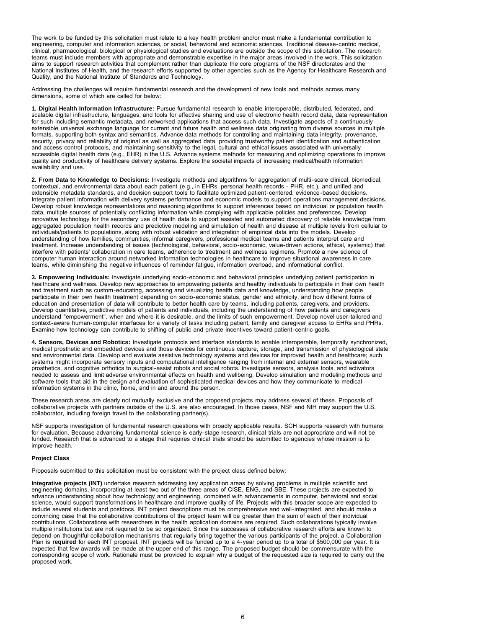The work to be funded by this solicitation must relate to a key health problem and/or must make a fundamental contribution to engineering, computer and information sciences, or social, behavioral and economic sciences. Traditional disease-centric medical, clinical, pharmacological, biological or physiological studies and evaluations are outside the scope of this solicitation. The research teams must include members with appropriate and demonstrable expertise in the major areas involved in the work. This solicitation aims to support research activities that complement rather than duplicate the core programs of the NSF directorates and the National Institutes of Health, and the research efforts supported by other agencies such as the Agency for Healthcare Research and Quality, and the National Institute of Standards and Technology.

Addressing the challenges will require fundamental research and the development of new tools and methods across many dimensions, some of which are called for below:

**1. Digital Health Information Infrastructure:** Pursue fundamental research to enable interoperable, distributed, federated, and scalable digital infrastructure, languages, and tools for effective sharing and use of electronic health record data, data representation for such including semantic metadata, and networked applications that access such data. Investigate aspects of a continuously extensible universal exchange language for current and future health and wellness data originating from diverse sources in multiple formats, supporting both syntax and semantics. Advance data methods for controlling and maintaining data integrity, provenance, security, privacy and reliability of original as well as aggregated data, providing trustworthy patient identification and authentication and access control protocols, and maintaining sensitivity to the legal, cultural and ethical issues associated with universally accessible digital health data (e.g., EHR) in the U.S. Advance systems methods for measuring and optimizing operations to improve quality and productivity of healthcare delivery systems. Explore the societal impacts of increasing medical/health information availability and use.

**2. From Data to Knowledge to Decisions:** Investigate methods and algorithms for aggregation of multi-scale clinical, biomedical, contextual, and environmental data about each patient (e.g., in EHRs, personal health records - PHR, etc.), and unified and extensible metadata standards, and decision support tools to facilitate optimized patient-centered, evidence-based decisions. Integrate patient information with delivery systems performance and economic models to support operations management decisions. Develop robust knowledge representations and reasoning algorithms to support inferences based on individual or population health data, multiple sources of potentially conflicting information while complying with applicable policies and preferences. Develop innovative technology for the secondary use of health data to support assisted and automated discovery of reliable knowledge from aggregated population health records and predictive modeling and simulation of health and disease at multiple levels from cellular to individuals/patients to populations, along with robust validation and integration of empirical data into the models. Develop understanding of how families, communities, informal caregivers, professional medical teams and patients interpret care and treatment. Increase understanding of issues (technological, behavioral, socio-economic, value-driven actions, ethical, systemic) that interfere with patients' collaboration in care teams, adherence to treatment and wellness regimens. Promote a new science of computer human interaction around networked information technologies in healthcare to improve situational awareness in care teams, while diminishing the negative influences of reminder fatigue, information overload, and informational conflict.

**3. Empowering Individuals:** Investigate underlying socio-economic and behavioral principles underlying patient participation in healthcare and wellness. Develop new approaches to empowering patients and healthy individuals to participate in their own health and treatment such as custom-educating, accessing and visualizing health data and knowledge, understanding how people participate in their own health treatment depending on socio-economic status, gender and ethnicity, and how different forms of education and presentation of data will contribute to better health care by teams, including patients, caregivers, and providers. Develop quantitative, predictive models of patients and individuals, including the understanding of how patients and caregivers understand "empowerment", when and where it is desirable, and the limits of such empowerment. Develop novel user-tailored and context-aware human-computer interfaces for a variety of tasks including patient, family and caregiver access to EHRs and PHRs. Examine how technology can contribute to shifting of public and private incentives toward patient-centric goals.

**4. Sensors, Devices and Robotics:** Investigate protocols and interface standards to enable interoperable, temporally synchronized, medical prosthetic and embedded devices and those devices for continuous capture, storage, and transmission of physiological state and environmental data. Develop and evaluate assistive technology systems and devices for improved health and healthcare; such systems might incorporate sensory inputs and computational intelligence ranging from internal and external sensors, wearable prosthetics, and cognitive orthotics to surgical-assist robots and social robots. Investigate sensors, analysis tools, and activators needed to assess and limit adverse environmental effects on health and wellbeing. Develop simulation and modeling methods and software tools that aid in the design and evaluation of sophisticated medical devices and how they communicate to medical information systems in the clinic, home, and in and around the person.

These research areas are clearly not mutually exclusive and the proposed projects may address several of these. Proposals of collaborative projects with partners outside of the U.S. are also encouraged. In those cases, NSF and NIH may support the U.S. collaborator, including foreign travel to the collaborating partner(s).

NSF supports investigation of fundamental research questions with broadly applicable results. SCH supports research with humans for evaluation. Because advancing fundamental science is early-stage research, clinical trials are not appropriate and will not be funded. Research that is advanced to a stage that requires clinical trials should be submitted to agencies whose mission is to improve health.

### **Project Class**

Proposals submitted to this solicitation must be consistent with the project class defined below:

<span id="page-5-0"></span>**Integrative projects (INT)** undertake research addressing key application areas by solving problems in multiple scientific and engineering domains, incorporating at least two out of the three areas of CISE, ENG, and SBE. These projects are expected to advance understanding about how technology and engineering, combined with advancements in computer, behavioral and social science, would support transformations in healthcare and improve quality of life. Projects with this broader scope are expected to include several students and postdocs. INT project descriptions must be comprehensive and well-integrated, and should make a convincing case that the collaborative contributions of the project team will be greater than the sum of each of their individual contributions. Collaborations with researchers in the health application domains are required. Such collaborations typically involve multiple institutions but are not required to be so organized. Since the successes of collaborative research efforts are known to depend on thoughtful collaboration mechanisms that regularly bring together the various participants of the project, a Collaboration Plan is **required** for each INT proposal. INT projects will be funded up to a 4-year period up to a total of \$500,000 per year. It is expected that few awards will be made at the upper end of this range. The proposed budget should be commensurate with the corresponding scope of work. Rationale must be provided to explain why a budget of the requested size is required to carry out the proposed work.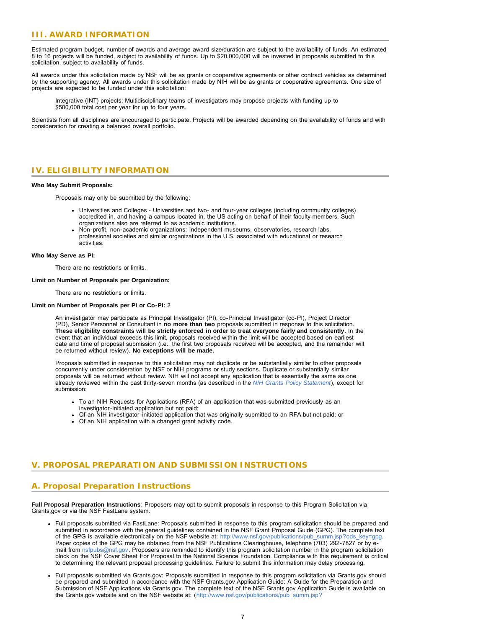## **III. AWARD INFORMATION**

Estimated program budget, number of awards and average award size/duration are subject to the availability of funds. An estimated 8 to 16 projects will be funded, subject to availability of funds. Up to \$20,000,000 will be invested in proposals submitted to this solicitation, subject to availability of funds.

All awards under this solicitation made by NSF will be as grants or cooperative agreements or other contract vehicles as determined by the supporting agency. All awards under this solicitation made by NIH will be as grants or cooperative agreements. One size of projects are expected to be funded under this solicitation:

Integrative (INT) projects: Multidisciplinary teams of investigators may propose projects with funding up to \$500,000 total cost per year for up to four years.

<span id="page-6-0"></span>Scientists from all disciplines are encouraged to participate. Projects will be awarded depending on the availability of funds and with consideration for creating a balanced overall portfolio.

## **IV. ELIGIBILITY INFORMATION**

#### **Who May Submit Proposals:**

Proposals may only be submitted by the following:

- Universities and Colleges Universities and two- and four-year colleges (including community colleges) accredited in, and having a campus located in, the US acting on behalf of their faculty members. Such organizations also are referred to as academic institutions.
- Non-profit, non-academic organizations: Independent museums, observatories, research labs, professional societies and similar organizations in the U.S. associated with educational or research activities.

#### **Who May Serve as PI:**

There are no restrictions or limits.

#### **Limit on Number of Proposals per Organization:**

There are no restrictions or limits.

### **Limit on Number of Proposals per PI or Co-PI:** 2

An investigator may participate as Principal Investigator (PI), co-Principal Investigator (co-PI), Project Director (PD), Senior Personnel or Consultant in **no more than two** proposals submitted in response to this solicitation. **These eligibility constraints will be strictly enforced in order to treat everyone fairly and consistently**. In the event that an individual exceeds this limit, proposals received within the limit will be accepted based on earliest date and time of proposal submission (i.e., the first two proposals received will be accepted, and the remainder will be returned without review). **No exceptions will be made.**

Proposals submitted in response to this solicitation may not duplicate or be substantially similar to other proposals concurrently under consideration by NSF or NIH programs or study sections. Duplicate or substantially similar proposals will be returned without review. NIH will not accept any application that is essentially the same as one already reviewed within the past thirty-seven months (as described in the *[NIH Grants Policy Statement](http://grants.nih.gov/grants/guide/url_redirect.htm?id=11129)*), except for submission:

- To an NIH Requests for Applications (RFA) of an application that was submitted previously as an investigator-initiated application but not paid;
- Of an NIH investigator-initiated application that was originally submitted to an RFA but not paid; or
- Of an NIH application with a changed grant activity code.

## <span id="page-6-1"></span>**V. PROPOSAL PREPARATION AND SUBMISSION INSTRUCTIONS**

## **A. Proposal Preparation Instructions**

**Full Proposal Preparation Instructions**: Proposers may opt to submit proposals in response to this Program Solicitation via Grants.gov or via the NSF FastLane system.

- Full proposals submitted via FastLane: Proposals submitted in response to this program solicitation should be prepared and submitted in accordance with the general guidelines contained in the NSF Grant Proposal Guide (GPG). The complete text of the GPG is available electronically on the NSF website at: [http://www.nsf.gov/publications/pub\\_summ.jsp?ods\\_key=gpg.](http://www.nsf.gov/publications/pub_summ.jsp?ods_key=gpg) Paper copies of the GPG may be obtained from the NSF Publications Clearinghouse, telephone (703) 292-7827 or by email from [nsfpubs@nsf.gov.](mailto:nsfpubs@nsf.gov) Proposers are reminded to identify this program solicitation number in the program solicitation block on the NSF Cover Sheet For Proposal to the National Science Foundation. Compliance with this requirement is critical to determining the relevant proposal processing guidelines. Failure to submit this information may delay processing.
- Full proposals submitted via Grants.gov: Proposals submitted in response to this program solicitation via Grants.gov should be prepared and submitted in accordance with the NSF Grants.gov Application Guide: A Guide for the Preparation and Submission of NSF Applications via Grants.gov. The complete text of the NSF Grants.gov Application Guide is available on the Grants.gov website and on the NSF website at: ([http://www.nsf.gov/publications/pub\\_summ.jsp?](http://www.nsf.gov/publications/pub_summ.jsp?ods_key=grantsgovguide)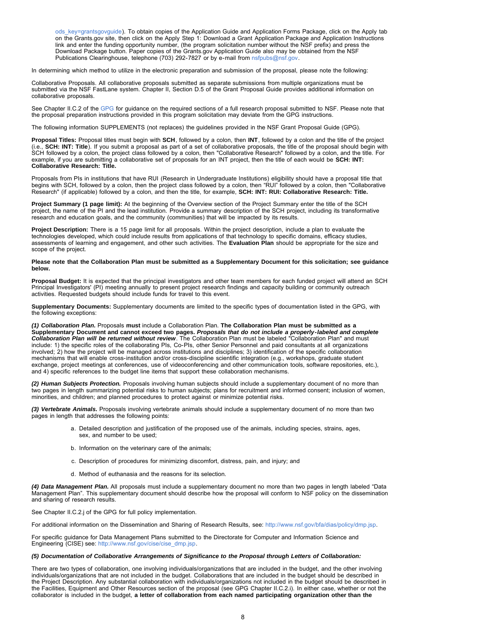ods key=grantsgovguide). To obtain copies of the Application Guide and Application Forms Package, click on the Apply tab on the Grants.gov site, then click on the Apply Step 1: Download a Grant Application Package and Application Instructions link and enter the funding opportunity number, (the program solicitation number without the NSF prefix) and press the Download Package button. Paper copies of the Grants.gov Application Guide also may be obtained from the NSF Publications Clearinghouse, telephone (703) 292-7827 or by e-mail from [nsfpubs@nsf.gov.](mailto:nsfpubs@nsf.gov)

In determining which method to utilize in the electronic preparation and submission of the proposal, please note the following:

Collaborative Proposals. All collaborative proposals submitted as separate submissions from multiple organizations must be submitted via the NSF FastLane system. Chapter II, Section D.5 of the Grant Proposal Guide provides additional information on collaborative proposals.

See Chapter II.C.2 of the [GPG](http://www.nsf.gov/publications/pub_summ.jsp?ods_key=gpg) for guidance on the required sections of a full research proposal submitted to NSF. Please note that the proposal preparation instructions provided in this program solicitation may deviate from the GPG instructions.

The following information SUPPLEMENTS (not replaces) the guidelines provided in the NSF Grant Proposal Guide (GPG).

**Proposal Titles:** Proposal titles must begin with **SCH**, followed by a colon, then **INT**, followed by a colon and the title of the project (i.e., **SCH: INT: Title**). If you submit a proposal as part of a set of collaborative proposals, the title of the proposal should begin with SCH followed by a colon, the project class followed by a colon, then "Collaborative Research" followed by a colon, and the title. For example, if you are submitting a collaborative set of proposals for an INT project, then the title of each would be **SCH: INT: Collaborative Research: Title.**

Proposals from PIs in institutions that have RUI (Research in Undergraduate Institutions) eligibility should have a proposal title that begins with SCH, followed by a colon, then the project class followed by a colon, then "RUI" followed by a colon, then "Collaborative Research" (if applicable) followed by a colon, and then the title, for example, **SCH: INT: RUI: Collaborative Research: Title.**

**Project Summary (1 page limit):** At the beginning of the Overview section of the Project Summary enter the title of the SCH project, the name of the PI and the lead institution. Provide a summary description of the SCH project, including its transformative research and education goals, and the community (communities) that will be impacted by its results.

**Project Description:** There is a 15 page limit for all proposals. Within the project description, include a plan to evaluate the technologies developed, which could include results from applications of that technology to specific domains, efficacy studies, assessments of learning and engagement, and other such activities. The **Evaluation Plan** should be appropriate for the size and scope of the project.

#### **Please note that the Collaboration Plan must be submitted as a Supplementary Document for this solicitation; see guidance below.**

**Proposal Budget:** It is expected that the principal investigators and other team members for each funded project will attend an SCH Principal Investigators' (PI) meeting annually to present project research findings and capacity building or community outreach activities. Requested budgets should include funds for travel to this event.

**Supplementary Documents:** Supplementary documents are limited to the specific types of documentation listed in the GPG, with the following exceptions:

*(1) Collaboration Plan.* Proposals **must** include a Collaboration Plan. **The Collaboration Plan must be submitted as a Supplementary Document and cannot exceed two pages.** *Proposals that do not include a properly-labeled and complete Collaboration Plan will be returned without review*. The Collaboration Plan must be labeled "Collaboration Plan" and must include: 1) the specific roles of the collaborating PIs, Co-PIs, other Senior Personnel and paid consultants at all organizations involved; 2) how the project will be managed across institutions and disciplines; 3) identification of the specific collaboration mechanisms that will enable cross-institution and/or cross-discipline scientific integration (e.g., workshops, graduate student exchange, project meetings at conferences, use of videoconferencing and other communication tools, software repositories, etc.), and 4) specific references to the budget line items that support these collaboration mechanisms.

*(2) Human Subjects Protection.* Proposals involving human subjects should include a supplementary document of no more than two pages in length summarizing potential risks to human subjects; plans for recruitment and informed consent; inclusion of women, minorities, and children; and planned procedures to protect against or minimize potential risks.

*(3) Vertebrate Animals.* Proposals involving vertebrate animals should include a supplementary document of no more than two pages in length that addresses the following points:

- a. Detailed description and justification of the proposed use of the animals, including species, strains, ages, sex, and number to be used;
- b. Information on the veterinary care of the animals;
- c. Description of procedures for minimizing discomfort, distress, pain, and injury; and
- d. Method of euthanasia and the reasons for its selection.

*(4) Data Management Plan.* All proposals must include a supplementary document no more than two pages in length labeled "Data Management Plan". This supplementary document should describe how the proposal will conform to NSF policy on the dissemination and sharing of research results.

See Chapter II.C.2.j of the GPG for full policy implementation.

For additional information on the Dissemination and Sharing of Research Results, see: [http://www.nsf.gov/bfa/dias/policy/dmp.jsp.](http://www.nsf.gov/bfa/dias/policy/dmp.jsp)

For specific guidance for Data Management Plans submitted to the Directorate for Computer and Information Science and Engineering (CISE) see: [http://www.nsf.gov/cise/cise\\_dmp.jsp.](http://www.nsf.gov/cise/cise_dmp.jsp)

#### *(5) Documentation of Collaborative Arrangements of Significance to the Proposal through Letters of Collaboration:*

There are two types of collaboration, one involving individuals/organizations that are included in the budget, and the other involving individuals/organizations that are not included in the budget. Collaborations that are included in the budget should be described in the Project Description. Any substantial collaboration with individuals/organizations not included in the budget should be described in the Facilities, Equipment and Other Resources section of the proposal (see GPG Chapter II.C.2.i). In either case, whether or not the collaborator is included in the budget, **a letter of collaboration from each named participating organization other than the**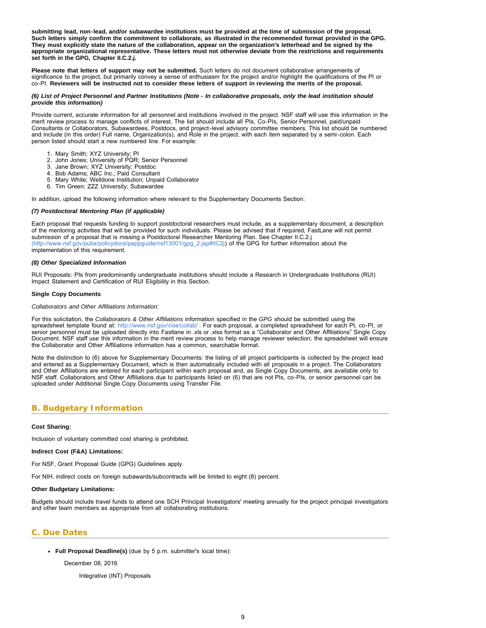<span id="page-8-0"></span>**submitting lead, non-lead, and/or subawardee institutions must be provided at the time of submission of the proposal. Such letters simply confirm the commitment to collaborate, as illustrated in the recommended format provided in the GPG. They must explicitly state the nature of the collaboration, appear on the organization's letterhead and be signed by the appropriate organizational representative. These letters must not otherwise deviate from the restrictions and requirements set forth in the GPG, Chapter II.C.2.j.**

**Please note that letters of support may not be submitted.** Such letters do not document collaborative arrangements of significance to the project, but primarily convey a sense of enthusiasm for the project and/or highlight the qualifications of the PI or co-PI. **Reviewers will be instructed not to consider these letters of support in reviewing the merits of the proposal.**

#### *(6) List of Project Personnel and Partner Institutions (Note - In collaborative proposals, only the lead institution should provide this information)*

Provide current, accurate information for all personnel and institutions involved in the project. NSF staff will use this information in the merit review process to manage conflicts of interest. The list should include all PIs, Co-PIs, Senior Personnel, paid/unpaid Consultants or Collaborators, Subawardees, Postdocs, and project-level advisory committee members. This list should be numbered and include (in this order) Full name, Organization(s), and Role in the project, with each item separated by a semi-colon. Each person listed should start a new numbered line. For example:

- 1. Mary Smith; XYZ University; PI
- 2. John Jones; University of PQR; Senior Personnel
- 3. Jane Brown; XYZ University; Postdoc
- 4. Bob Adams; ABC Inc.; Paid Consultant
- 5. Mary White; Welldone Institution; Unpaid Collaborator
- 6. Tim Green; ZZZ University; Subawardee

In addition, upload the following information where relevant to the Supplementary Documents Section:

#### *(7) Postdoctoral Mentoring Plan (if applicable)*

Each proposal that requests funding to support postdoctoral researchers must include, as a supplementary document, a description of the mentoring activities that will be provided for such individuals. Please be advised that if required, FastLane will not permit submission of a proposal that is missing a Postdoctoral Researcher Mentoring Plan. See Chapter II.C.2.j [\(http://www.nsf.gov/pubs/policydocs/pappguide/nsf13001/gpg\\_2.jsp#IIC2j\)](http://www.nsf.gov/pubs/policydocs/pappguide/nsf13001/gpg_2.jsp#IIC2j) of the GPG for further information about the implementation of this requirement.

#### *(8) Other Specialized Information*

RUI Proposals: PIs from predominantly undergraduate institutions should include a Research in Undergraduate Institutions (RUI) Impact Statement and Certification of RUI Eligibility in this Section.

#### **Single Copy Documents**

*Collaborators and Other Affiliations Information:*

For this solicitation, the *Collaborators & Other Affiliations* information specified in the *GPG* should be submitted using the spreadsheet template found at: <http://www.nsf.gov/cise/collab/>. For each proposal, a completed spreadsheet for each PI, co-PI, or senior personnel must be uploaded directly into Fastlane in .xls or .xlsx format as a "Collaborator and Other Affiliations" Single Copy Document. NSF staff use this information in the merit review process to help manage reviewer selection; the spreadsheet will ensure the Collaborator and Other Affiliations information has a common, searchable format.

Note the distinction to (6) above for Supplementary Documents: the listing of all project participants is collected by the project lead and entered as a Supplementary Document, which is then automatically included with all proposals in a project. The Collaborators and Other Affiliations are entered for each participant within each proposal and, as Single Copy Documents, are available only to NSF staff. Collaborators and Other Affiliations due to participants listed on (6) that are not PIs, co-PIs, or senior personnel can be uploaded under Additional Single Copy Documents using Transfer File.

## **B. Budgetary Information**

#### **Cost Sharing:**

Inclusion of voluntary committed cost sharing is prohibited.

#### **Indirect Cost (F&A) Limitations:**

For NSF, Grant Proposal Guide (GPG) Guidelines apply.

For NIH, indirect costs on foreign subawards/subcontracts will be limited to eight (8) percent.

#### **Other Budgetary Limitations:**

Budgets should include travel funds to attend one SCH Principal Investigators' meeting annually for the project principal investigators and other team members as appropriate from all collaborating institutions.

### <span id="page-8-1"></span>**C. Due Dates**

<span id="page-8-2"></span>**Full Proposal Deadline(s)** (due by 5 p.m. submitter's local time):

December 08, 2016

Integrative (INT) Proposals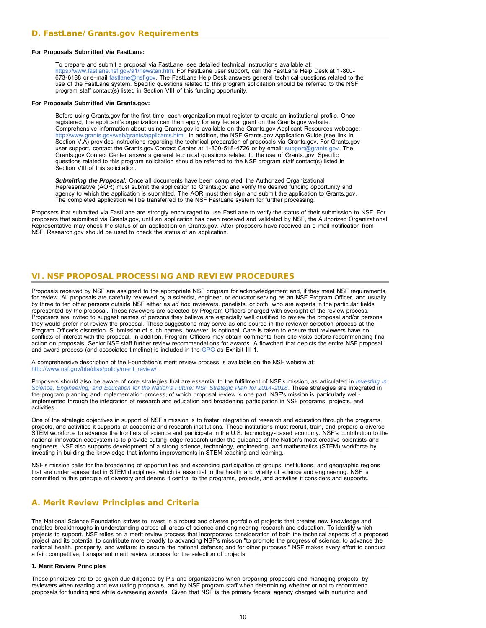### **For Proposals Submitted Via FastLane:**

To prepare and submit a proposal via FastLane, see detailed technical instructions available at: [https://www.fastlane.nsf.gov/a1/newstan.htm.](https://www.fastlane.nsf.gov/a1/newstan.htm) For FastLane user support, call the FastLane Help Desk at 1-800- 673-6188 or e-mail [fastlane@nsf.gov.](mailto:fastlane@nsf.gov) The FastLane Help Desk answers general technical questions related to the use of the FastLane system. Specific questions related to this program solicitation should be referred to the NSF program staff contact(s) listed in Section VIII of this funding opportunity.

#### **For Proposals Submitted Via Grants.gov:**

Before using Grants.gov for the first time, each organization must register to create an institutional profile. Once registered, the applicant's organization can then apply for any federal grant on the Grants.gov website. Comprehensive information about using Grants.gov is available on the Grants.gov Applicant Resources webpage: [http://www.grants.gov/web/grants/applicants.html.](http://www.grants.gov/web/grants/applicants.html) In addition, the NSF Grants.gov Application Guide (see link in Section V.A) provides instructions regarding the technical preparation of proposals via Grants.gov. For Grants.gov user support, contact the Grants.gov Contact Center at 1-800-518-4726 or by email: [support@grants.gov](mailto:support@grants.gov). The Grants.gov Contact Center answers general technical questions related to the use of Grants.gov. Specific questions related to this program solicitation should be referred to the NSF program staff contact(s) listed in Section VIII of this solicitation.

*Submitting the Proposal:* Once all documents have been completed, the Authorized Organizational Representative (AOR) must submit the application to Grants.gov and verify the desired funding opportunity and agency to which the application is submitted. The AOR must then sign and submit the application to Grants.gov. The completed application will be transferred to the NSF FastLane system for further processing.

Proposers that submitted via FastLane are strongly encouraged to use FastLane to verify the status of their submission to NSF. For proposers that submitted via Grants.gov, until an application has been received and validated by NSF, the Authorized Organizational Representative may check the status of an application on Grants.gov. After proposers have received an e-mail notification from NSF, Research.gov should be used to check the status of an application.

## <span id="page-9-0"></span>**VI. NSF PROPOSAL PROCESSING AND REVIEW PROCEDURES**

Proposals received by NSF are assigned to the appropriate NSF program for acknowledgement and, if they meet NSF requirements, for review. All proposals are carefully reviewed by a scientist, engineer, or educator serving as an NSF Program Officer, and usually by three to ten other persons outside NSF either as *ad hoc* reviewers, panelists, or both, who are experts in the particular fields represented by the proposal. These reviewers are selected by Program Officers charged with oversight of the review process. Proposers are invited to suggest names of persons they believe are especially well qualified to review the proposal and/or persons they would prefer not review the proposal. These suggestions may serve as one source in the reviewer selection process at the Program Officer's discretion. Submission of such names, however, is optional. Care is taken to ensure that reviewers have no conflicts of interest with the proposal. In addition, Program Officers may obtain comments from site visits before recommending final action on proposals. Senior NSF staff further review recommendations for awards. A flowchart that depicts the entire NSF proposal and award process (and associated timeline) is included in the [GPG](http://www.nsf.gov/publications/pub_summ.jsp?ods_key=gpg) as Exhibit III-1.

A comprehensive description of the Foundation's merit review process is available on the NSF website at: [http://www.nsf.gov/bfa/dias/policy/merit\\_review/](http://www.nsf.gov/bfa/dias/policy/merit_review/).

Proposers should also be aware of core strategies that are essential to the fulfillment of NSF's mission, as articulated in *[Investing in](http://www.nsf.gov/publications/pub_summ.jsp?ods_key=nsf14043) [Science, Engineering, and Education for the Nation's Future: NSF Strategic Plan for 2014-2018](http://www.nsf.gov/publications/pub_summ.jsp?ods_key=nsf14043)*. These strategies are integrated in the program planning and implementation process, of which proposal review is one part. NSF's mission is particularly wellimplemented through the integration of research and education and broadening participation in NSF programs, projects, and activities.

One of the strategic objectives in support of NSF's mission is to foster integration of research and education through the programs, projects, and activities it supports at academic and research institutions. These institutions must recruit, train, and prepare a diverse STEM workforce to advance the frontiers of science and participate in the U.S. technology-based economy. NSF's contribution to the national innovation ecosystem is to provide cutting-edge research under the guidance of the Nation's most creative scientists and engineers. NSF also supports development of a strong science, technology, engineering, and mathematics (STEM) workforce by investing in building the knowledge that informs improvements in STEM teaching and learning.

NSF's mission calls for the broadening of opportunities and expanding participation of groups, institutions, and geographic regions that are underrepresented in STEM disciplines, which is essential to the health and vitality of science and engineering. NSF is committed to this principle of diversity and deems it central to the programs, projects, and activities it considers and supports.

## <span id="page-9-1"></span>**A. Merit Review Principles and Criteria**

The National Science Foundation strives to invest in a robust and diverse portfolio of projects that creates new knowledge and enables breakthroughs in understanding across all areas of science and engineering research and education. To identify which projects to support, NSF relies on a merit review process that incorporates consideration of both the technical aspects of a proposed project and its potential to contribute more broadly to advancing NSF's mission "to promote the progress of science; to advance the national health, prosperity, and welfare; to secure the national defense; and for other purposes." NSF makes every effort to conduct a fair, competitive, transparent merit review process for the selection of projects.

### **1. Merit Review Principles**

These principles are to be given due diligence by PIs and organizations when preparing proposals and managing projects, by reviewers when reading and evaluating proposals, and by NSF program staff when determining whether or not to recommend proposals for funding and while overseeing awards. Given that NSF is the primary federal agency charged with nurturing and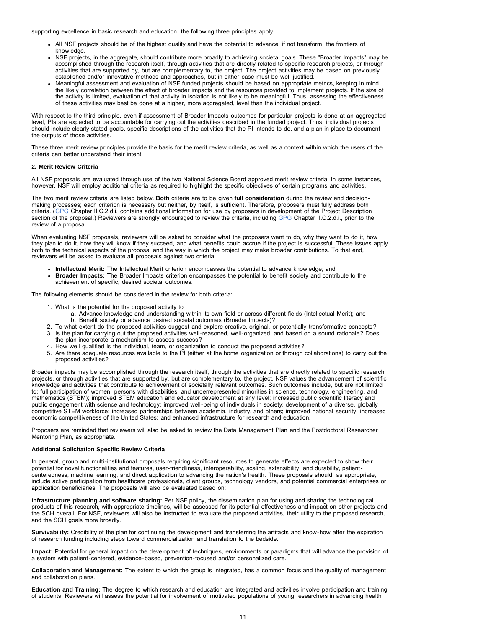supporting excellence in basic research and education, the following three principles apply:

- All NSF projects should be of the highest quality and have the potential to advance, if not transform, the frontiers of knowledge.
- NSF projects, in the aggregate, should contribute more broadly to achieving societal goals. These "Broader Impacts" may be accomplished through the research itself, through activities that are directly related to specific research projects, or through activities that are supported by, but are complementary to, the project. The project activities may be based on previously established and/or innovative methods and approaches, but in either case must be well justified.
- Meaningful assessment and evaluation of NSF funded projects should be based on appropriate metrics, keeping in mind the likely correlation between the effect of broader impacts and the resources provided to implement projects. If the size of the activity is limited, evaluation of that activity in isolation is not likely to be meaningful. Thus, assessing the effectiveness of these activities may best be done at a higher, more aggregated, level than the individual project.

With respect to the third principle, even if assessment of Broader Impacts outcomes for particular projects is done at an aggregated level, PIs are expected to be accountable for carrying out the activities described in the funded project. Thus, individual projects should include clearly stated goals, specific descriptions of the activities that the PI intends to do, and a plan in place to document the outputs of those activities.

These three merit review principles provide the basis for the merit review criteria, as well as a context within which the users of the criteria can better understand their intent.

#### **2. Merit Review Criteria**

All NSF proposals are evaluated through use of the two National Science Board approved merit review criteria. In some instances, however, NSF will employ additional criteria as required to highlight the specific objectives of certain programs and activities.

The two merit review criteria are listed below. **Both** criteria are to be given **full consideration** during the review and decisionmaking processes; each criterion is necessary but neither, by itself, is sufficient. Therefore, proposers must fully address both criteria. ([GPG](http://www.nsf.gov/publications/pub_summ.jsp?ods_key=gpg) Chapter II.C.2.d.i. contains additional information for use by proposers in development of the Project Description section of the proposal.) Reviewers are strongly encouraged to review the criteria, including [GPG](http://www.nsf.gov/publications/pub_summ.jsp?ods_key=gpg) Chapter II.C.2.d.i., prior to the review of a proposal.

When evaluating NSF proposals, reviewers will be asked to consider what the proposers want to do, why they want to do it, how they plan to do it, how they will know if they succeed, and what benefits could accrue if the project is successful. These issues apply both to the technical aspects of the proposal and the way in which the project may make broader contributions. To that end, reviewers will be asked to evaluate all proposals against two criteria:

- **Intellectual Merit:** The Intellectual Merit criterion encompasses the potential to advance knowledge; and
- **Broader Impacts:** The Broader Impacts criterion encompasses the potential to benefit society and contribute to the achievement of specific, desired societal outcomes.

The following elements should be considered in the review for both criteria:

- 1. What is the potential for the proposed activity to
	- a. Advance knowledge and understanding within its own field or across different fields (Intellectual Merit); and b. Benefit society or advance desired societal outcomes (Broader Impacts)?
- 2. To what extent do the proposed activities suggest and explore creative, original, or potentially transformative concepts?
- 3. Is the plan for carrying out the proposed activities well-reasoned, well-organized, and based on a sound rationale? Does the plan incorporate a mechanism to assess success?
- 4. How well qualified is the individual, team, or organization to conduct the proposed activities?
- 5. Are there adequate resources available to the PI (either at the home organization or through collaborations) to carry out the proposed activities?

Broader impacts may be accomplished through the research itself, through the activities that are directly related to specific research projects, or through activities that are supported by, but are complementary to, the project. NSF values the advancement of scientific knowledge and activities that contribute to achievement of societally relevant outcomes. Such outcomes include, but are not limited to: full participation of women, persons with disabilities, and underrepresented minorities in science, technology, engineering, and mathematics (STEM); improved STEM education and educator development at any level; increased public scientific literacy and public engagement with science and technology; improved well-being of individuals in society; development of a diverse, globally competitive STEM workforce; increased partnerships between academia, industry, and others; improved national security; increased economic competitiveness of the United States; and enhanced infrastructure for research and education.

Proposers are reminded that reviewers will also be asked to review the Data Management Plan and the Postdoctoral Researcher Mentoring Plan, as appropriate.

#### **Additional Solicitation Specific Review Criteria**

In general, group and multi-institutional proposals requiring significant resources to generate effects are expected to show their potential for novel functionalities and features, user-friendliness, interoperability, scaling, extensibility, and durability, patientcenteredness, machine learning, and direct application to advancing the nation's health. These proposals should, as appropriate, include active participation from healthcare professionals, client groups, technology vendors, and potential commercial enterprises or application beneficiaries. The proposals will also be evaluated based on:

**Infrastructure planning and software sharing:** Per NSF policy, the dissemination plan for using and sharing the technological products of this research, with appropriate timelines, will be assessed for its potential effectiveness and impact on other projects and the SCH overall. For NSF, reviewers will also be instructed to evaluate the proposed activities, their utility to the proposed research, and the SCH goals more broadly.

**Survivability:** Credibility of the plan for continuing the development and transferring the artifacts and know-how after the expiration of research funding including steps toward commercialization and translation to the bedside.

**Impact:** Potential for general impact on the development of techniques, environments or paradigms that will advance the provision of a system with patient-centered, evidence-based, prevention-focused and/or personalized care.

**Collaboration and Management:** The extent to which the group is integrated, has a common focus and the quality of management and collaboration plans.

**Education and Training:** The degree to which research and education are integrated and activities involve participation and training of students. Reviewers will assess the potential for involvement of motivated populations of young researchers in advancing health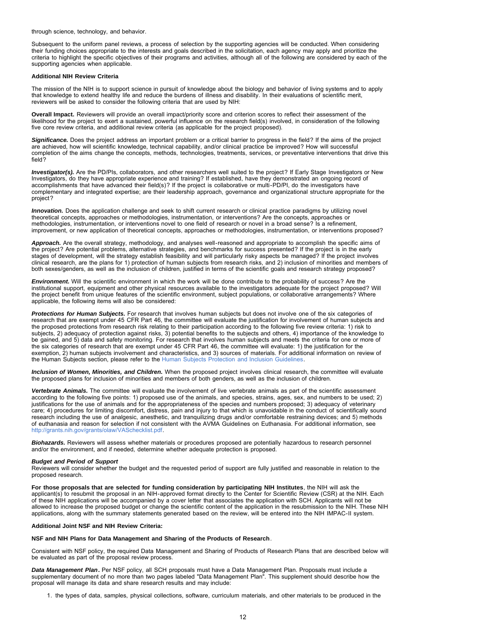through science, technology, and behavior.

Subsequent to the uniform panel reviews, a process of selection by the supporting agencies will be conducted. When considering their funding choices appropriate to the interests and goals described in the solicitation, each agency may apply and prioritize the criteria to highlight the specific objectives of their programs and activities, although all of the following are considered by each of the supporting agencies when applicable.

#### **Additional NIH Review Criteria**

The mission of the NIH is to support science in pursuit of knowledge about the biology and behavior of living systems and to apply that knowledge to extend healthy life and reduce the burdens of illness and disability. In their evaluations of scientific merit, reviewers will be asked to consider the following criteria that are used by NIH:

**Overall Impact.** Reviewers will provide an overall impact/priority score and criterion scores to reflect their assessment of the likelihood for the project to exert a sustained, powerful influence on the research field(s) involved, in consideration of the following five core review criteria, and additional review criteria (as applicable for the project proposed).

*Significance.* Does the project address an important problem or a critical barrier to progress in the field? If the aims of the project are achieved, how will scientific knowledge, technical capability, and/or clinical practice be improved? How will successful completion of the aims change the concepts, methods, technologies, treatments, services, or preventative interventions that drive this field?

*Investigator(s).* Are the PD/PIs, collaborators, and other researchers well suited to the project? If Early Stage Investigators or New Investigators, do they have appropriate experience and training? If established, have they demonstrated an ongoing record of accomplishments that have advanced their field(s)? If the project is collaborative or multi-PD/PI, do the investigators have complementary and integrated expertise; are their leadership approach, governance and organizational structure appropriate for the project?

*Innovation.* Does the application challenge and seek to shift current research or clinical practice paradigms by utilizing novel theoretical concepts, approaches or methodologies, instrumentation, or interventions? Are the concepts, approaches or methodologies, instrumentation, or interventions novel to one field of research or novel in a broad sense? Is a refinement, improvement, or new application of theoretical concepts, approaches or methodologies, instrumentation, or interventions proposed?

*Approach.* Are the overall strategy, methodology, and analyses well-reasoned and appropriate to accomplish the specific aims of the project? Are potential problems, alternative strategies, and benchmarks for success presented? If the project is in the early stages of development, will the strategy establish feasibility and will particularly risky aspects be managed? If the project involves clinical research, are the plans for 1) protection of human subjects from research risks, and 2) inclusion of minorities and members of both sexes/genders, as well as the inclusion of children, justified in terms of the scientific goals and research strategy proposed?

*Environment.* Will the scientific environment in which the work will be done contribute to the probability of success? Are the institutional support, equipment and other physical resources available to the investigators adequate for the project proposed? Will the project benefit from unique features of the scientific environment, subject populations, or collaborative arrangements? Where applicable, the following items will also be considered:

*Protections for Human Subjects.* For research that involves human subjects but does not involve one of the six categories of research that are exempt under 45 CFR Part 46, the committee will evaluate the justification for involvement of human subjects and the proposed protections from research risk relating to their participation according to the following five review criteria: 1) risk to subjects, 2) adequacy of protection against risks, 3) potential benefits to the subjects and others, 4) importance of the knowledge to be gained, and 5) data and safety monitoring. For research that involves human subjects and meets the criteria for one or more of the six categories of research that are exempt under 45 CFR Part 46, the committee will evaluate: 1) the justification for the exemption, 2) human subjects involvement and characteristics, and 3) sources of materials. For additional information on review of the Human Subjects section, please refer to the [Human Subjects Protection and Inclusion Guidelines.](http://grants.nih.gov/grants/guide/url_redirect.htm?id=11172)

*Inclusion of Women, Minorities, and Children.* When the proposed project involves clinical research, the committee will evaluate the proposed plans for inclusion of minorities and members of both genders, as well as the inclusion of children.

*Vertebrate Animals.* The committee will evaluate the involvement of live vertebrate animals as part of the scientific assessment according to the following five points: 1) proposed use of the animals, and species, strains, ages, sex, and numbers to be used; 2) justifications for the use of animals and for the appropriateness of the species and numbers proposed; 3) adequacy of veterinary care; 4) procedures for limiting discomfort, distress, pain and injury to that which is unavoidable in the conduct of scientifically sound research including the use of analgesic, anesthetic, and tranquilizing drugs and/or comfortable restraining devices; and 5) methods of euthanasia and reason for selection if not consistent with the AVMA Guidelines on Euthanasia. For additional information, see [http://grants.nih.gov/grants/olaw/VASchecklist.pdf.](http://grants.nih.gov/grants/olaw/VASchecklist.pdf)

*Biohazards.* Reviewers will assess whether materials or procedures proposed are potentially hazardous to research personnel and/or the environment, and if needed, determine whether adequate protection is proposed.

#### *Budget and Period of Support*

Reviewers will consider whether the budget and the requested period of support are fully justified and reasonable in relation to the proposed research.

**For those proposals that are selected for funding consideration by participating NIH Institutes**, the NIH will ask the applicant(s) to resubmit the proposal in an NIH-approved format directly to the Center for Scientific Review (CSR) at the NIH. Each of these NIH applications will be accompanied by a cover letter that associates the application with SCH. Applicants will not be allowed to increase the proposed budget or change the scientific content of the application in the resubmission to the NIH. These NIH applications, along with the summary statements generated based on the review, will be entered into the NIH IMPAC-II system.

#### **Additional Joint NSF and NIH Review Criteria:**

#### **NSF and NIH Plans for Data Management and Sharing of the Products of Research**.

Consistent with NSF policy, the required Data Management and Sharing of Products of Research Plans that are described below will be evaluated as part of the proposal review process.

*Data Management Plan***.** Per NSF policy, all SCH proposals must have a Data Management Plan. Proposals must include a supplementary document of no more than two pages labeled "Data Management Plan". This supplement should describe how the proposal will manage its data and share research results and may include:

1. the types of data, samples, physical collections, software, curriculum materials, and other materials to be produced in the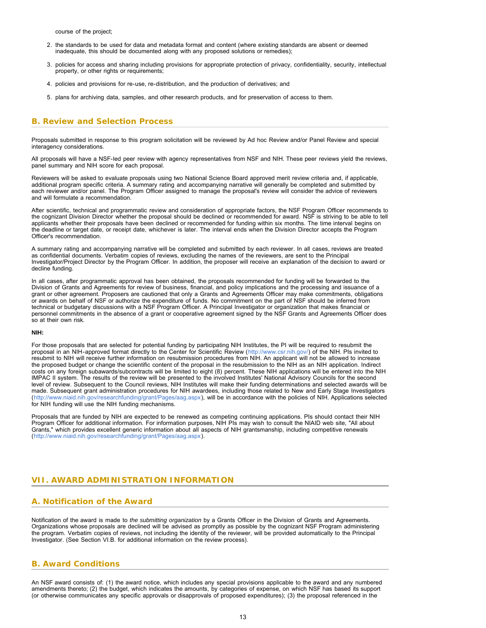course of the project;

- 2. the standards to be used for data and metadata format and content (where existing standards are absent or deemed inadequate, this should be documented along with any proposed solutions or remedies);
- 3. policies for access and sharing including provisions for appropriate protection of privacy, confidentiality, security, intellectual property, or other rights or requirements;
- 4. policies and provisions for re-use, re-distribution, and the production of derivatives; and
- 5. plans for archiving data, samples, and other research products, and for preservation of access to them.

### <span id="page-12-0"></span>**B. Review and Selection Process**

Proposals submitted in response to this program solicitation will be reviewed by Ad hoc Review and/or Panel Review and special interagency considerations.

All proposals will have a NSF-led peer review with agency representatives from NSF and NIH. These peer reviews yield the reviews, panel summary and NIH score for each proposal.

Reviewers will be asked to evaluate proposals using two National Science Board approved merit review criteria and, if applicable, additional program specific criteria. A summary rating and accompanying narrative will generally be completed and submitted by each reviewer and/or panel. The Program Officer assigned to manage the proposal's review will consider the advice of reviewers and will formulate a recommendation.

After scientific, technical and programmatic review and consideration of appropriate factors, the NSF Program Officer recommends to the cognizant Division Director whether the proposal should be declined or recommended for award. NSF is striving to be able to tell applicants whether their proposals have been declined or recommended for funding within six months. The time interval begins on the deadline or target date, or receipt date, whichever is later. The interval ends when the Division Director accepts the Program Officer's recommendation.

A summary rating and accompanying narrative will be completed and submitted by each reviewer. In all cases, reviews are treated as confidential documents. Verbatim copies of reviews, excluding the names of the reviewers, are sent to the Principal Investigator/Project Director by the Program Officer. In addition, the proposer will receive an explanation of the decision to award or decline funding.

In all cases, after programmatic approval has been obtained, the proposals recommended for funding will be forwarded to the Division of Grants and Agreements for review of business, financial, and policy implications and the processing and issuance of a grant or other agreement. Proposers are cautioned that only a Grants and Agreements Officer may make commitments, obligations or awards on behalf of NSF or authorize the expenditure of funds. No commitment on the part of NSF should be inferred from technical or budgetary discussions with a NSF Program Officer. A Principal Investigator or organization that makes financial or personnel commitments in the absence of a grant or cooperative agreement signed by the NSF Grants and Agreements Officer does so at their own risk.

#### **NIH:**

For those proposals that are selected for potential funding by participating NIH Institutes, the PI will be required to resubmit the proposal in an NIH-approved format directly to the Center for Scientific Review ([http://www.csr.nih.gov/\)](http://www.csr.nih.gov/) of the NIH. PIs invited to resubmit to NIH will receive further information on resubmission procedures from NIH. An applicant will not be allowed to increase the proposed budget or change the scientific content of the proposal in the resubmission to the NIH as an NIH application. Indirect costs on any foreign subawards/subcontracts will be limited to eight (8) percent. These NIH applications will be entered into the NIH IMPAC II system. The results of the review will be presented to the involved Institutes' National Advisory Councils for the second level of review. Subsequent to the Council reviews, NIH Institutes will make their funding determinations and selected awards will be made. Subsequent grant administration procedures for NIH awardees, including those related to New and Early Stage Investigators ([http://www.niaid.nih.gov/researchfunding/grant/Pages/aag.aspx\)](http://www.niaid.nih.gov/researchfunding/grant/Pages/aag.aspx), will be in accordance with the policies of NIH. Applications selected for NIH funding will use the NIH funding mechanisms.

<span id="page-12-1"></span>Proposals that are funded by NIH are expected to be renewed as competing continuing applications. PIs should contact their NIH Program Officer for additional information. For information purposes, NIH PIs may wish to consult the NIAID web site, "All about Grants," which provides excellent generic information about all aspects of NIH grantsmanship, including competitive renewals ([http://www.niaid.nih.gov/researchfunding/grant/Pages/aag.aspx\)](http://www.niaid.nih.gov/researchfunding/grant/Pages/aag.aspx).

## <span id="page-12-2"></span>**VII. AWARD ADMINISTRATION INFORMATION**

## **A. Notification of the Award**

Notification of the award is made to *the submitting organization* by a Grants Officer in the Division of Grants and Agreements. Organizations whose proposals are declined will be advised as promptly as possible by the cognizant NSF Program administering the program. Verbatim copies of reviews, not including the identity of the reviewer, will be provided automatically to the Principal Investigator. (See Section VI.B. for additional information on the review process).

### <span id="page-12-3"></span>**B. Award Conditions**

An NSF award consists of: (1) the award notice, which includes any special provisions applicable to the award and any numbered amendments thereto; (2) the budget, which indicates the amounts, by categories of expense, on which NSF has based its support (or otherwise communicates any specific approvals or disapprovals of proposed expenditures); (3) the proposal referenced in the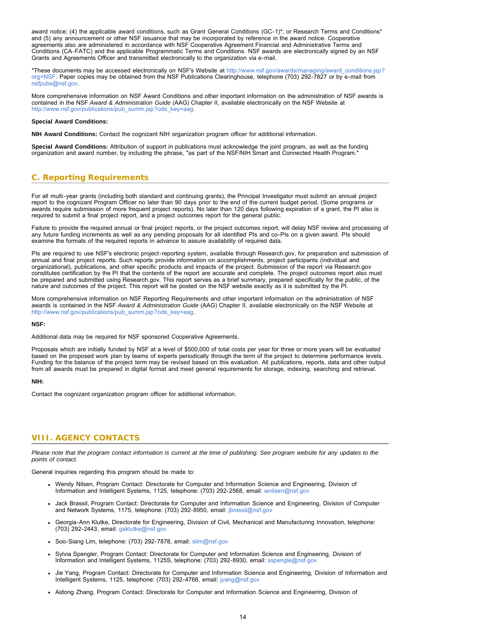award notice; (4) the applicable award conditions, such as Grant General Conditions (GC-1)\*; or Research Terms and Conditions\* and (5) any announcement or other NSF issuance that may be incorporated by reference in the award notice. Cooperative agreements also are administered in accordance with NSF Cooperative Agreement Financial and Administrative Terms and Conditions (CA-FATC) and the applicable Programmatic Terms and Conditions. NSF awards are electronically signed by an NSF Grants and Agreements Officer and transmitted electronically to the organization via e-mail.

\*These documents may be accessed electronically on NSF's Website at [http://www.nsf.gov/awards/managing/award\\_conditions.jsp?](http://www.nsf.gov/awards/managing/award_conditions.jsp?org=NSF) [org=NSF.](http://www.nsf.gov/awards/managing/award_conditions.jsp?org=NSF) Paper copies may be obtained from the NSF Publications Clearinghouse, telephone (703) 292-7827 or by e-mail from [nsfpubs@nsf.gov.](mailto:nsfpubs@nsf.gov)

More comprehensive information on NSF Award Conditions and other important information on the administration of NSF awards is contained in the NSF *Award & Administration Guide* (AAG) Chapter II, available electronically on the NSF Website at [http://www.nsf.gov/publications/pub\\_summ.jsp?ods\\_key=aag.](http://www.nsf.gov/publications/pub_summ.jsp?ods_key=aag)

#### **Special Award Conditions:**

**NIH Award Conditions:** Contact the cognizant NIH organization program officer for additional information.

**Special Award Conditions:** Attribution of support in publications must acknowledge the joint program, as well as the funding organization and award number, by including the phrase, "as part of the NSF/NIH Smart and Connected Health Program."

## <span id="page-13-0"></span>**C. Reporting Requirements**

For all multi-year grants (including both standard and continuing grants), the Principal Investigator must submit an annual project report to the cognizant Program Officer no later than 90 days prior to the end of the current budget period. (Some programs or awards require submission of more frequent project reports). No later than 120 days following expiration of a grant, the PI also is required to submit a final project report, and a project outcomes report for the general public.

Failure to provide the required annual or final project reports, or the project outcomes report, will delay NSF review and processing of any future funding increments as well as any pending proposals for all identified PIs and co-PIs on a given award. PIs should examine the formats of the required reports in advance to assure availability of required data.

PIs are required to use NSF's electronic project-reporting system, available through Research.gov, for preparation and submission of annual and final project reports. Such reports provide information on accomplishments, project participants (individual and organizational), publications, and other specific products and impacts of the project. Submission of the report via Research.gov constitutes certification by the PI that the contents of the report are accurate and complete. The project outcomes report also must be prepared and submitted using Research.gov. This report serves as a brief summary, prepared specifically for the public, of the nature and outcomes of the project. This report will be posted on the NSF website exactly as it is submitted by the PI.

More comprehensive information on NSF Reporting Requirements and other important information on the administration of NSF awards is contained in the NSF *Award & Administration Guide* (AAG) Chapter II, available electronically on the NSF Website at [http://www.nsf.gov/publications/pub\\_summ.jsp?ods\\_key=aag.](http://www.nsf.gov/publications/pub_summ.jsp?ods_key=aag)

#### **NSF:**

Additional data may be required for NSF sponsored Cooperative Agreements.

Proposals which are initially funded by NSF at a level of \$500,000 of total costs per year for three or more years will be evaluated based on the proposed work plan by teams of experts periodically through the term of the project to determine performance levels. Funding for the balance of the project term may be revised based on this evaluation. All publications, reports, data and other output from all awards must be prepared in digital format and meet general requirements for storage, indexing, searching and retrieval.

### **NIH:**

<span id="page-13-1"></span>Contact the cognizant organization program officer for additional information.

### **VIII. AGENCY CONTACTS**

*Please note that the program contact information is current at the time of publishing. See program website for any updates to the points of contact.*

General inquiries regarding this program should be made to:

- Wendy Nilsen, Program Contact: Directorate for Computer and Information Science and Engineering, Division of Information and Intelligent Systems, 1125, telephone: (703) 292-2568, email: [wnilsen@nsf.gov](mailto:wnilsen@nsf.gov)
- Jack Brassil, Program Contact: Directorate for Computer and Information Science and Engineering, Division of Computer and Network Systems, 1175, telephone: (703) 292-8950, email: [jbrassil@nsf.gov](mailto:jbrassil@nsf.gov)
- Georgia-Ann Klutke, Directorate for Engineering, Division of Civil, Mechanical and Manufacturing Innovation, telephone: (703) 292-2443, email: [gaklutke@nsf.gov](mailto:gaklutke@nsf.gov)
- Soo-Siang Lim, telephone: (703) 292-7878, email: [slim@nsf.gov](mailto:slim@nsf.gov)
- Sylvia Spengler, Program Contact: Directorate for Computer and Information Science and Engineering, Division of Information and Intelligent Systems, 1125S, telephone: (703) 292-8930, email: [sspengle@nsf.gov](mailto:sspengle@nsf.gov)
- Jie Yang, Program Contact: Directorate for Computer and Information Science and Engineering, Division of Information and Intelligent Systems, 1125, telephone: (703) 292-4768, email: [jyang@nsf.gov](mailto:jyang@nsf.gov)
- Aidong Zhang, Program Contact: Directorate for Computer and Information Science and Engineering, Division of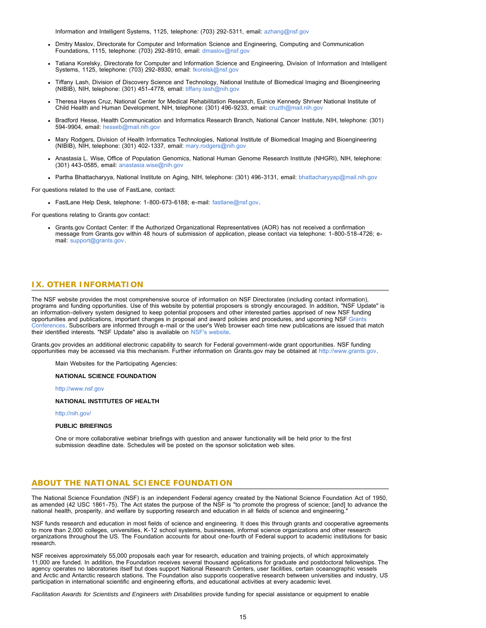Information and Intelligent Systems, 1125, telephone: (703) 292-5311, email: [azhang@nsf.gov](mailto:azhang@nsf.gov)

- Dmitry Maslov, Directorate for Computer and Information Science and Engineering, Computing and Communication Foundations, 1115, telephone: (703) 292-8910, email: [dmaslov@nsf.gov](mailto:dmaslov@nsf.gov)
- Tatiana Korelsky, Directorate for Computer and Information Science and Engineering, Division of Information and Intelligent Systems, 1125, telephone: (703) 292-8930, email: [tkorelsk@nsf.gov](mailto:tkorelsk@nsf.gov)
- Tiffany Lash, Division of Discovery Science and Technology, National Institute of Biomedical Imaging and Bioengineering (NIBIB), NIH, telephone: (301) 451-4778, email: [tiffany.lash@nih.gov](mailto:tiffany.lash@nih.gov)
- Theresa Hayes Cruz, National Center for Medical Rehabilitation Research, Eunice Kennedy Shriver National Institute of Child Health and Human Development, NIH, telephone: (301) 496-9233, email: [cruzth@mail.nih.gov](mailto:cruzth@mail.nih.gov)
- Bradford Hesse, Health Communication and Informatics Research Branch, National Cancer Institute, NIH, telephone: (301) 594-9904, email: [hesseb@mail.nih.gov](mailto:hesseb@mail.nih.gov)
- Mary Rodgers, Division of Health Informatics Technologies, National Institute of Biomedical Imaging and Bioengineering (NIBIB), NIH, telephone: (301) 402-1337, email: [mary.rodgers@nih.gov](mailto:mary.rodgers@nih.gov)
- Anastasia L. Wise, Office of Population Genomics, National Human Genome Research Institute (NHGRI), NIH, telephone: (301) 443-0585, email: [anastasia.wise@nih.gov](mailto:anastasia.wise@nih.gov)
- Partha Bhattacharyya, National Institute on Aging, NIH, telephone: (301) 496-3131, email: [bhattacharyyap@mail.nih.gov](mailto:bhattacharyyap@mail.nih.gov)

For questions related to the use of FastLane, contact:

FastLane Help Desk, telephone: 1-800-673-6188; e-mail: [fastlane@nsf.gov.](mailto:fastlane@nsf.gov)

For questions relating to Grants.gov contact:

Grants.gov Contact Center: If the Authorized Organizational Representatives (AOR) has not received a confirmation message from Grants.gov within 48 hours of submission of application, please contact via telephone: 1-800-518-4726; email: [support@grants.gov.](mailto:support@grants.gov)

## <span id="page-14-0"></span>**IX. OTHER INFORMATION**

The NSF website provides the most comprehensive source of information on NSF Directorates (including contact information), programs and funding opportunities. Use of this website by potential proposers is strongly encouraged. In addition, "NSF Update" is an information-delivery system designed to keep potential proposers and other interested parties apprised of new NSF funding opportunities and publications, important changes in proposal and award policies and procedures, and upcoming NSF [Grants](http://www.nsf.gov/bfa/dias/policy/outreach.jsp) [Conferences.](http://www.nsf.gov/bfa/dias/policy/outreach.jsp) Subscribers are informed through e-mail or the user's Web browser each time new publications are issued that match their identified interests. "NSF Update" also is available on [NSF's website.](https://www.nsf.gov/pubs/cgi-bin/good-bye?https://public.govdelivery.com/accounts/USNSF/subscriber/new?topic_id=USNSF_179)

Grants.gov provides an additional electronic capability to search for Federal government-wide grant opportunities. NSF funding opportunities may be accessed via this mechanism. Further information on Grants.gov may be obtained at [http://www.grants.gov.](http://www.grants.gov/)

Main Websites for the Participating Agencies:

#### **NATIONAL SCIENCE FOUNDATION**

#### [http://www.nsf.gov](http://www.nsf.gov/)

### **NATIONAL INSTITUTES OF HEALTH**

#### <http://nih.gov/>

#### **PUBLIC BRIEFINGS**

One or more collaborative webinar briefings with question and answer functionality will be held prior to the first submission deadline date. Schedules will be posted on the sponsor solicitation web sites.

## **ABOUT THE NATIONAL SCIENCE FOUNDATION**

The National Science Foundation (NSF) is an independent Federal agency created by the National Science Foundation Act of 1950, as amended (42 USC 1861-75). The Act states the purpose of the NSF is "to promote the progress of science; [and] to advance the national health, prosperity, and welfare by supporting research and education in all fields of science and engineering."

NSF funds research and education in most fields of science and engineering. It does this through grants and cooperative agreements to more than 2,000 colleges, universities, K-12 school systems, businesses, informal science organizations and other research organizations throughout the US. The Foundation accounts for about one-fourth of Federal support to academic institutions for basic research.

NSF receives approximately 55,000 proposals each year for research, education and training projects, of which approximately 11,000 are funded. In addition, the Foundation receives several thousand applications for graduate and postdoctoral fellowships. The agency operates no laboratories itself but does support National Research Centers, user facilities, certain oceanographic vessels and Arctic and Antarctic research stations. The Foundation also supports cooperative research between universities and industry, US participation in international scientific and engineering efforts, and educational activities at every academic level.

*Facilitation Awards for Scientists and Engineers with Disabilities* provide funding for special assistance or equipment to enable